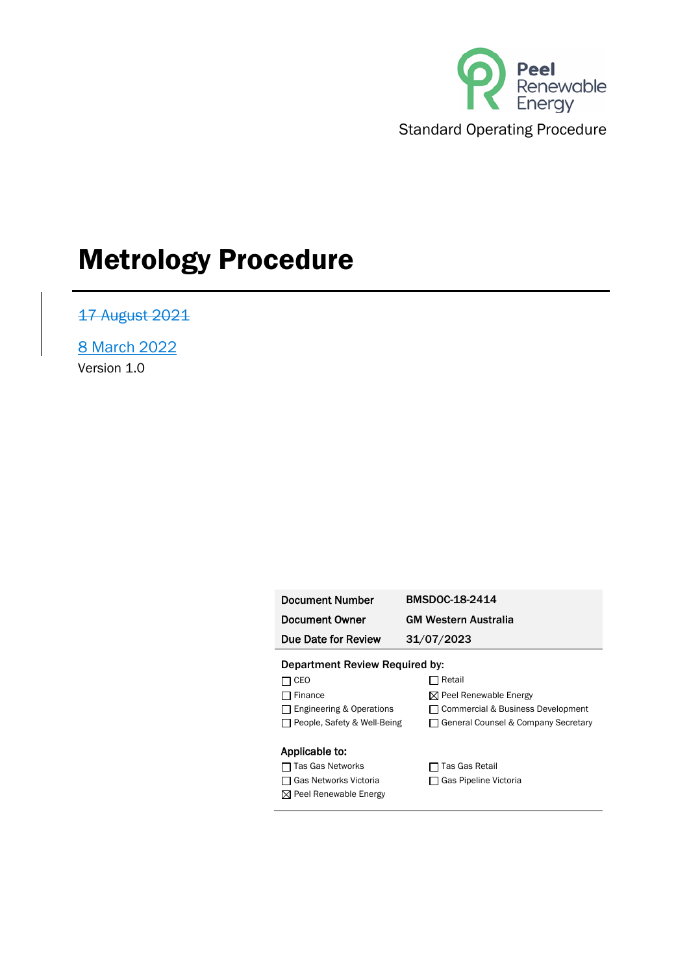

17 August 2021

8 March 2022 Version 1.0

| Document Number     | BMSDOC-18-2414              |
|---------------------|-----------------------------|
| Document Owner      | <b>GM Western Australia</b> |
| Due Date for Review | 31/07/2023                  |

Department Review Required by: □ CEO DRetail

□ Finance <br>
<sub>N</sub> Peel Renewable Energy

□ Engineering & Operations □ Commercial & Business Development

□ People, Safety & Well-Being □ General Counsel & Company Secretary

#### Applicable to:

- □ Tas Gas Networks □ Tas Gas Retail
- □ Gas Networks Victoria □ □ Gas Pipeline Victoria
- Peel Renewable Energy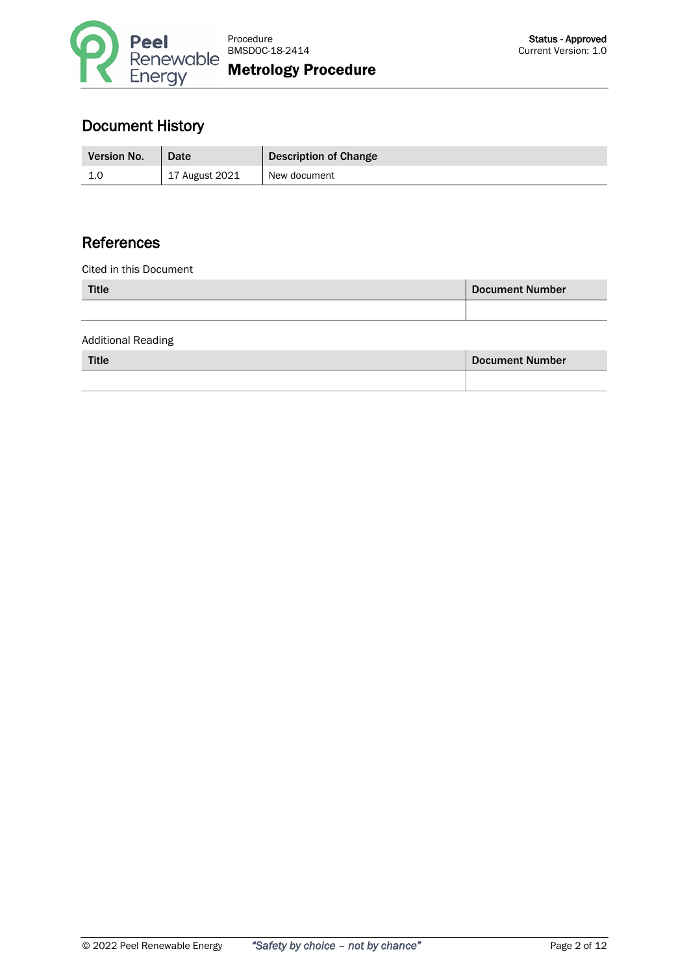

# Document History

| <b>Version No.</b> | Date                        | <b>Description of Change</b> |
|--------------------|-----------------------------|------------------------------|
| ∸∙                 | <sup>1</sup> 17 August 2021 | New document                 |

# References

Cited in this Document

| <b>Title</b> | <b>Document Number</b> |
|--------------|------------------------|
|              |                        |

Additional Reading

Title Document Number

| © 2022 Peel Renewable Energy | "Safety by choice - not by chance" |
|------------------------------|------------------------------------|
|                              |                                    |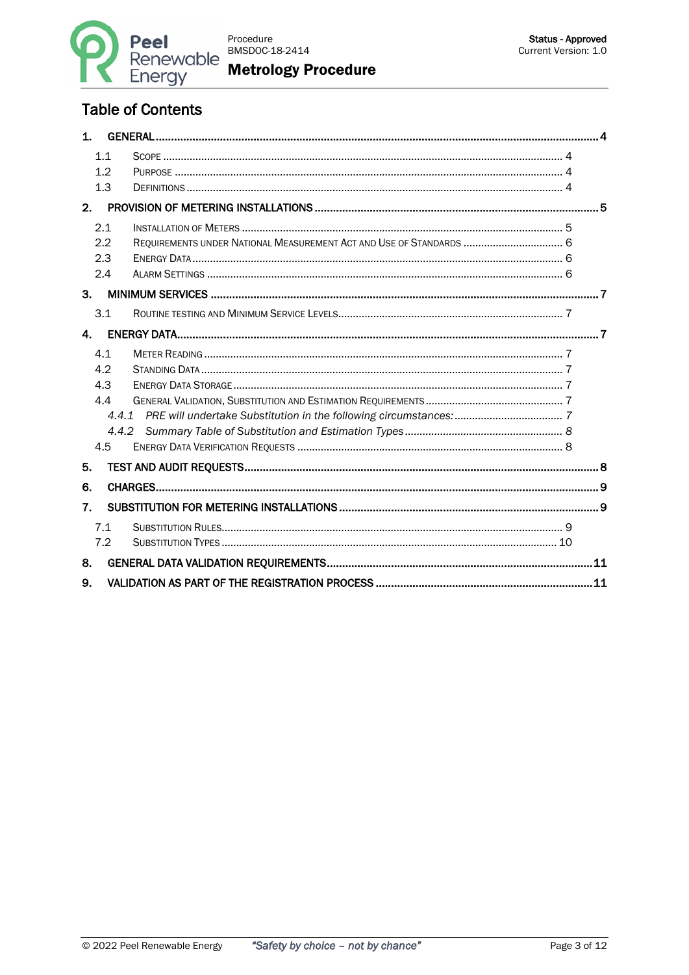

# **Table of Contents**

| 1 <sub>1</sub> |     |                                                                     |  |
|----------------|-----|---------------------------------------------------------------------|--|
|                | 1.1 |                                                                     |  |
|                | 1.2 |                                                                     |  |
|                | 1.3 |                                                                     |  |
| 2.             |     |                                                                     |  |
|                | 2.1 |                                                                     |  |
|                | 2.2 | REQUIREMENTS UNDER NATIONAL MEASUREMENT ACT AND USE OF STANDARDS  6 |  |
|                | 2.3 |                                                                     |  |
|                | 2.4 |                                                                     |  |
| 3.             |     |                                                                     |  |
|                | 3.1 |                                                                     |  |
| $\mathbf{A}$   |     |                                                                     |  |
|                | 4.1 |                                                                     |  |
|                | 42  |                                                                     |  |
|                | 4.3 |                                                                     |  |
|                | 4.4 |                                                                     |  |
|                | 441 |                                                                     |  |
|                |     |                                                                     |  |
|                | 4.5 |                                                                     |  |
| 5.             |     |                                                                     |  |
| 6.             |     |                                                                     |  |
| 7.             |     |                                                                     |  |
|                | 7.1 |                                                                     |  |
|                | 7.2 |                                                                     |  |
| 8.             |     |                                                                     |  |
| 9.             |     |                                                                     |  |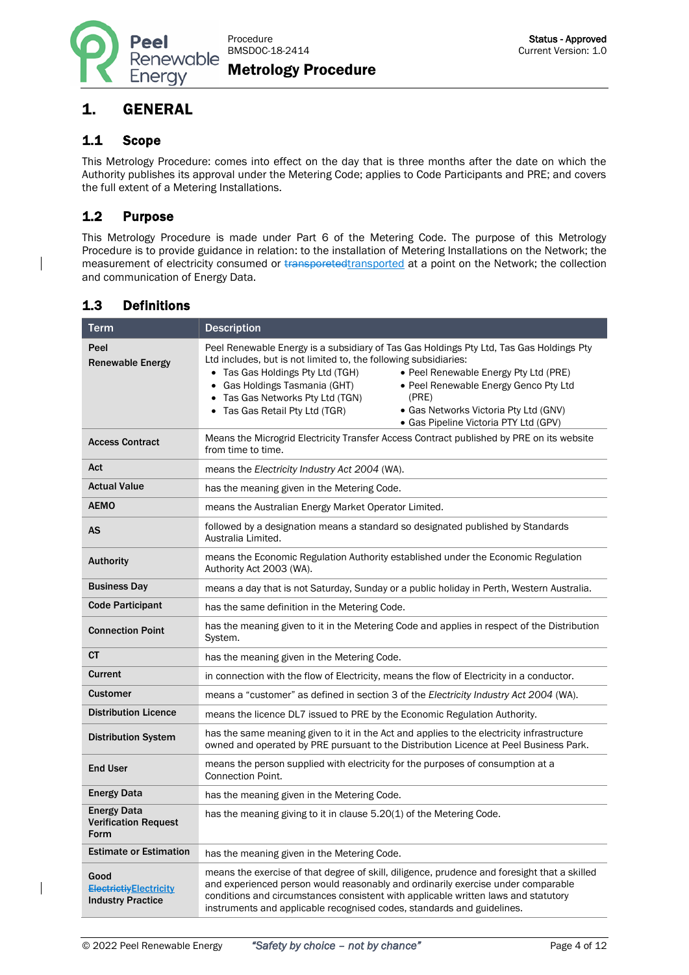

## <span id="page-3-0"></span>1. GENERAL

#### <span id="page-3-1"></span>1.1 Scope

This Metrology Procedure: comes into effect on the day that is three months after the date on which the Authority publishes its approval under the Metering Code; applies to Code Participants and PRE; and covers the full extent of a Metering Installations.

#### <span id="page-3-2"></span>1.2 Purpose

This Metrology Procedure is made under Part 6 of the Metering Code. The purpose of this Metrology Procedure is to provide guidance in relation: to the installation of Metering Installations on the Network; the measurement of electricity consumed or transporetedtransported at a point on the Network; the collection and communication of Energy Data.

#### <span id="page-3-3"></span>1.3 Definitions

| <b>Term</b>                                                       | <b>Description</b>                                                                                                                                                                                                                                                                                                                                                                                                                                                                                    |  |
|-------------------------------------------------------------------|-------------------------------------------------------------------------------------------------------------------------------------------------------------------------------------------------------------------------------------------------------------------------------------------------------------------------------------------------------------------------------------------------------------------------------------------------------------------------------------------------------|--|
| Peel<br><b>Renewable Energy</b>                                   | Peel Renewable Energy is a subsidiary of Tas Gas Holdings Pty Ltd, Tas Gas Holdings Pty<br>Ltd includes, but is not limited to, the following subsidiaries:<br>Tas Gas Holdings Pty Ltd (TGH)<br>• Peel Renewable Energy Pty Ltd (PRE)<br>Gas Holdings Tasmania (GHT)<br>• Peel Renewable Energy Genco Pty Ltd<br>$\bullet$<br>Tas Gas Networks Pty Ltd (TGN)<br>(PRE)<br>$\bullet$<br>• Gas Networks Victoria Pty Ltd (GNV)<br>Tas Gas Retail Pty Ltd (TGR)<br>· Gas Pipeline Victoria PTY Ltd (GPV) |  |
| <b>Access Contract</b>                                            | Means the Microgrid Electricity Transfer Access Contract published by PRE on its website<br>from time to time.                                                                                                                                                                                                                                                                                                                                                                                        |  |
| Act                                                               | means the Electricity Industry Act 2004 (WA).                                                                                                                                                                                                                                                                                                                                                                                                                                                         |  |
| <b>Actual Value</b>                                               | has the meaning given in the Metering Code.                                                                                                                                                                                                                                                                                                                                                                                                                                                           |  |
| <b>AEMO</b>                                                       | means the Australian Energy Market Operator Limited.                                                                                                                                                                                                                                                                                                                                                                                                                                                  |  |
| AS                                                                | followed by a designation means a standard so designated published by Standards<br>Australia Limited.                                                                                                                                                                                                                                                                                                                                                                                                 |  |
| <b>Authority</b>                                                  | means the Economic Regulation Authority established under the Economic Regulation<br>Authority Act 2003 (WA).                                                                                                                                                                                                                                                                                                                                                                                         |  |
| <b>Business Day</b>                                               | means a day that is not Saturday, Sunday or a public holiday in Perth, Western Australia.                                                                                                                                                                                                                                                                                                                                                                                                             |  |
| <b>Code Participant</b>                                           | has the same definition in the Metering Code.                                                                                                                                                                                                                                                                                                                                                                                                                                                         |  |
| <b>Connection Point</b>                                           | has the meaning given to it in the Metering Code and applies in respect of the Distribution<br>System.                                                                                                                                                                                                                                                                                                                                                                                                |  |
| <b>CT</b>                                                         | has the meaning given in the Metering Code.                                                                                                                                                                                                                                                                                                                                                                                                                                                           |  |
| Current                                                           | in connection with the flow of Electricity, means the flow of Electricity in a conductor.                                                                                                                                                                                                                                                                                                                                                                                                             |  |
| <b>Customer</b>                                                   | means a "customer" as defined in section 3 of the Electricity Industry Act 2004 (WA).                                                                                                                                                                                                                                                                                                                                                                                                                 |  |
| <b>Distribution Licence</b>                                       | means the licence DL7 issued to PRE by the Economic Regulation Authority.                                                                                                                                                                                                                                                                                                                                                                                                                             |  |
| <b>Distribution System</b>                                        | has the same meaning given to it in the Act and applies to the electricity infrastructure<br>owned and operated by PRE pursuant to the Distribution Licence at Peel Business Park.                                                                                                                                                                                                                                                                                                                    |  |
| <b>End User</b>                                                   | means the person supplied with electricity for the purposes of consumption at a<br>Connection Point.                                                                                                                                                                                                                                                                                                                                                                                                  |  |
| <b>Energy Data</b>                                                | has the meaning given in the Metering Code.                                                                                                                                                                                                                                                                                                                                                                                                                                                           |  |
| <b>Energy Data</b><br><b>Verification Request</b><br>Form         | has the meaning giving to it in clause 5.20(1) of the Metering Code.                                                                                                                                                                                                                                                                                                                                                                                                                                  |  |
| <b>Estimate or Estimation</b>                                     | has the meaning given in the Metering Code.                                                                                                                                                                                                                                                                                                                                                                                                                                                           |  |
| Good<br><b>ElectrictivElectricity</b><br><b>Industry Practice</b> | means the exercise of that degree of skill, diligence, prudence and foresight that a skilled<br>and experienced person would reasonably and ordinarily exercise under comparable<br>conditions and circumstances consistent with applicable written laws and statutory<br>instruments and applicable recognised codes, standards and guidelines.                                                                                                                                                      |  |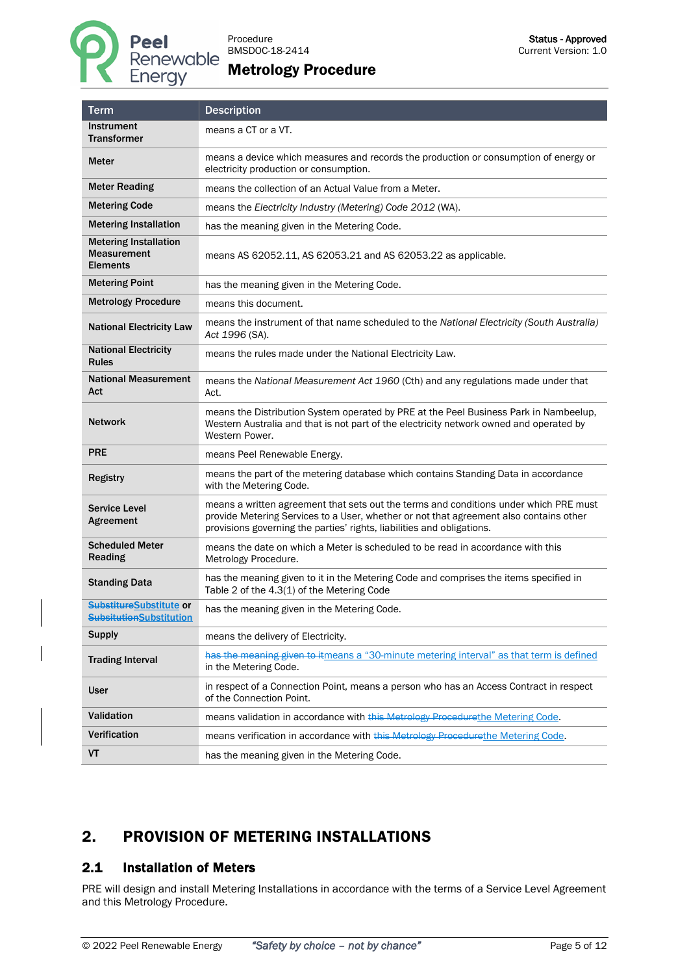

| <b>Term</b>                                                           | <b>Description</b>                                                                                                                                                                                                                                        |
|-----------------------------------------------------------------------|-----------------------------------------------------------------------------------------------------------------------------------------------------------------------------------------------------------------------------------------------------------|
| Instrument<br><b>Transformer</b>                                      | means a CT or a VT.                                                                                                                                                                                                                                       |
| Meter                                                                 | means a device which measures and records the production or consumption of energy or<br>electricity production or consumption.                                                                                                                            |
| <b>Meter Reading</b>                                                  | means the collection of an Actual Value from a Meter.                                                                                                                                                                                                     |
| <b>Metering Code</b>                                                  | means the Electricity Industry (Metering) Code 2012 (WA).                                                                                                                                                                                                 |
| <b>Metering Installation</b>                                          | has the meaning given in the Metering Code.                                                                                                                                                                                                               |
| <b>Metering Installation</b><br><b>Measurement</b><br><b>Elements</b> | means AS 62052.11, AS 62053.21 and AS 62053.22 as applicable.                                                                                                                                                                                             |
| <b>Metering Point</b>                                                 | has the meaning given in the Metering Code.                                                                                                                                                                                                               |
| <b>Metrology Procedure</b>                                            | means this document.                                                                                                                                                                                                                                      |
| <b>National Electricity Law</b>                                       | means the instrument of that name scheduled to the National Electricity (South Australia)<br>Act 1996 (SA).                                                                                                                                               |
| <b>National Electricity</b><br><b>Rules</b>                           | means the rules made under the National Electricity Law.                                                                                                                                                                                                  |
| <b>National Measurement</b><br>Act                                    | means the National Measurement Act 1960 (Cth) and any regulations made under that<br>Act.                                                                                                                                                                 |
| Network                                                               | means the Distribution System operated by PRE at the Peel Business Park in Nambeelup,<br>Western Australia and that is not part of the electricity network owned and operated by<br>Western Power.                                                        |
| <b>PRE</b>                                                            | means Peel Renewable Energy.                                                                                                                                                                                                                              |
| <b>Registry</b>                                                       | means the part of the metering database which contains Standing Data in accordance<br>with the Metering Code.                                                                                                                                             |
| <b>Service Level</b><br>Agreement                                     | means a written agreement that sets out the terms and conditions under which PRE must<br>provide Metering Services to a User, whether or not that agreement also contains other<br>provisions governing the parties' rights, liabilities and obligations. |
| <b>Scheduled Meter</b><br><b>Reading</b>                              | means the date on which a Meter is scheduled to be read in accordance with this<br>Metrology Procedure.                                                                                                                                                   |
| <b>Standing Data</b>                                                  | has the meaning given to it in the Metering Code and comprises the items specified in<br>Table 2 of the 4.3(1) of the Metering Code                                                                                                                       |
| SubstitureSubstitute or<br><del>Subsitution</del> Substitution        | has the meaning given in the Metering Code.                                                                                                                                                                                                               |
| <b>Supply</b>                                                         | means the delivery of Electricity.                                                                                                                                                                                                                        |
| <b>Trading Interval</b>                                               | has the meaning given to itmeans a "30-minute metering interval" as that term is defined<br>in the Metering Code.                                                                                                                                         |
| <b>User</b>                                                           | in respect of a Connection Point, means a person who has an Access Contract in respect<br>of the Connection Point.                                                                                                                                        |
| Validation                                                            | means validation in accordance with this Metrology Procedurethe Metering Code.                                                                                                                                                                            |
| Verification                                                          | means verification in accordance with this Metrology Procedurethe Metering Code.                                                                                                                                                                          |
| VT                                                                    | has the meaning given in the Metering Code.                                                                                                                                                                                                               |

# <span id="page-4-0"></span>2. PROVISION OF METERING INSTALLATIONS

## <span id="page-4-1"></span>2.1 Installation of Meters

PRE will design and install Metering Installations in accordance with the terms of a Service Level Agreement and this Metrology Procedure.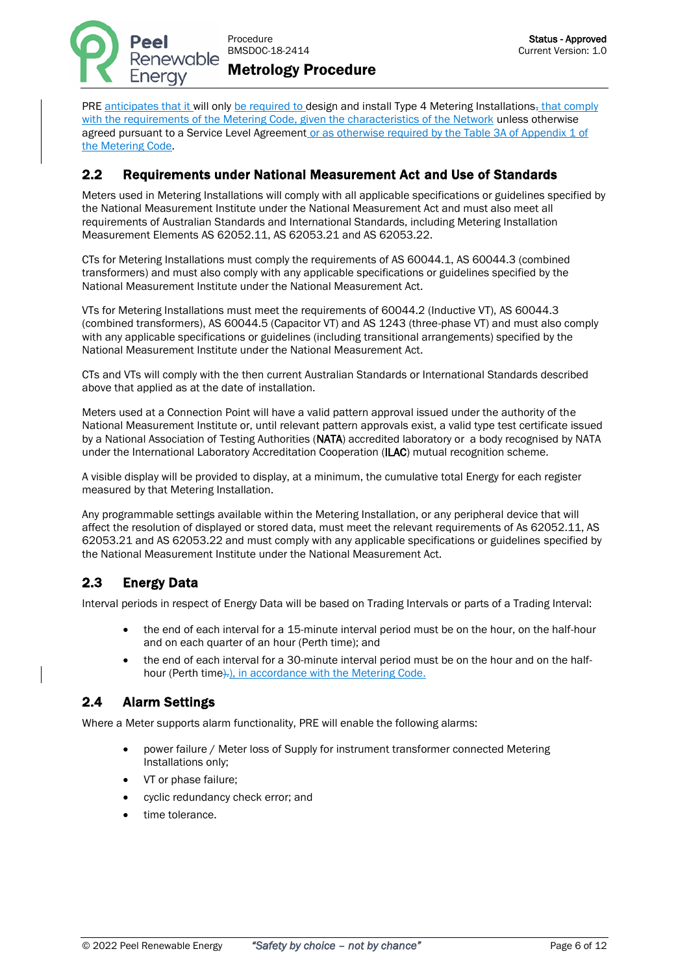

PRE anticipates that it will only be required to design and install Type 4 Metering Installations, that comply with the requirements of the Metering Code, given the characteristics of the Network unless otherwise agreed pursuant to a Service Level Agreement or as otherwise required by the Table 3A of Appendix 1 of the Metering Code.

## <span id="page-5-0"></span>2.2 Requirements under National Measurement Act and Use of Standards

Meters used in Metering Installations will comply with all applicable specifications or guidelines specified by the National Measurement Institute under the National Measurement Act and must also meet all requirements of Australian Standards and International Standards, including Metering Installation Measurement Elements AS 62052.11, AS 62053.21 and AS 62053.22.

CTs for Metering Installations must comply the requirements of AS 60044.1, AS 60044.3 (combined transformers) and must also comply with any applicable specifications or guidelines specified by the National Measurement Institute under the National Measurement Act.

VTs for Metering Installations must meet the requirements of 60044.2 (Inductive VT), AS 60044.3 (combined transformers), AS 60044.5 (Capacitor VT) and AS 1243 (three-phase VT) and must also comply with any applicable specifications or guidelines (including transitional arrangements) specified by the National Measurement Institute under the National Measurement Act.

CTs and VTs will comply with the then current Australian Standards or International Standards described above that applied as at the date of installation.

Meters used at a Connection Point will have a valid pattern approval issued under the authority of the National Measurement Institute or, until relevant pattern approvals exist, a valid type test certificate issued by a National Association of Testing Authorities (NATA) accredited laboratory or a body recognised by NATA under the International Laboratory Accreditation Cooperation (ILAC) mutual recognition scheme.

A visible display will be provided to display, at a minimum, the cumulative total Energy for each register measured by that Metering Installation.

Any programmable settings available within the Metering Installation, or any peripheral device that will affect the resolution of displayed or stored data, must meet the relevant requirements of As 62052.11, AS 62053.21 and AS 62053.22 and must comply with any applicable specifications or guidelines specified by the National Measurement Institute under the National Measurement Act.

## <span id="page-5-1"></span>2.3 Energy Data

Interval periods in respect of Energy Data will be based on Trading Intervals or parts of a Trading Interval:

- the end of each interval for a 15-minute interval period must be on the hour, on the half-hour and on each quarter of an hour (Perth time); and
- the end of each interval for a 30-minute interval period must be on the hour and on the halfhour (Perth time). in accordance with the Metering Code.

## <span id="page-5-2"></span>2.4 Alarm Settings

Where a Meter supports alarm functionality, PRE will enable the following alarms:

- power failure / Meter loss of Supply for instrument transformer connected Metering Installations only;
- VT or phase failure;
- cyclic redundancy check error; and
- time tolerance.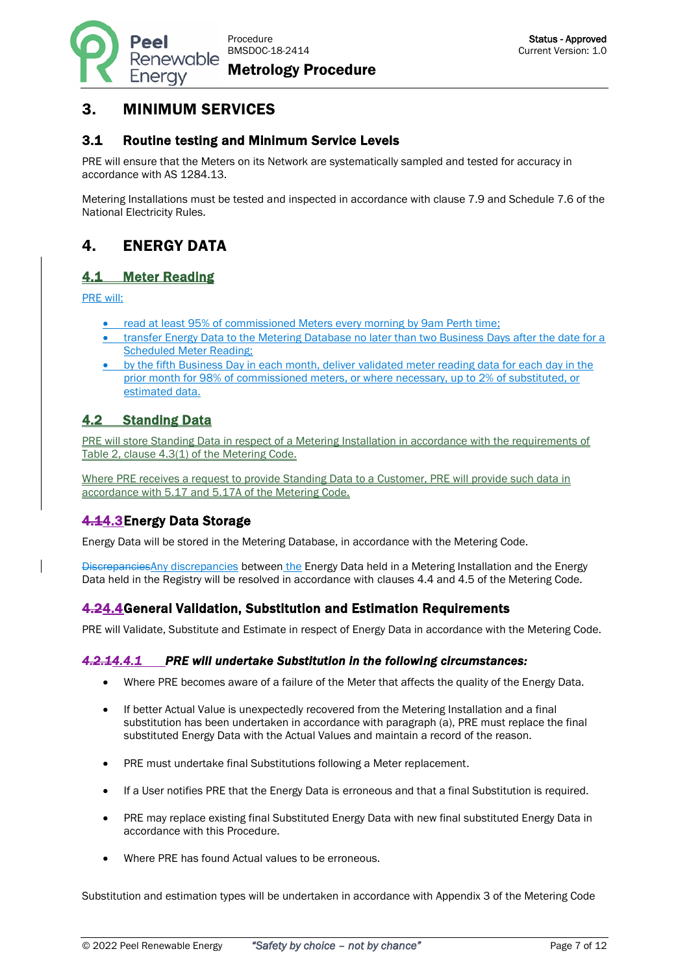Procedure BMSDOC-18-2414

Metrology Procedure

# <span id="page-6-0"></span>3. MINIMUM SERVICES

Renewable

Enerav

#### <span id="page-6-1"></span>3.1 Routine testing and Minimum Service Levels

PRE will ensure that the Meters on its Network are systematically sampled and tested for accuracy in accordance with AS 1284.13.

Metering Installations must be tested and inspected in accordance with clause 7.9 and Schedule 7.6 of the National Electricity Rules.

# <span id="page-6-2"></span>4. ENERGY DATA

#### <span id="page-6-3"></span>4.1 Meter Reading

PRE will:

ŕ

- read at least 95% of commissioned Meters every morning by 9am Perth time;
- transfer Energy Data to the Metering Database no later than two Business Days after the date for a Scheduled Meter Reading;
- by the fifth Business Day in each month, deliver validated meter reading data for each day in the prior month for 98% of commissioned meters, or where necessary, up to 2% of substituted, or estimated data.

## <span id="page-6-4"></span>4.2 Standing Data

PRE will store Standing Data in respect of a Metering Installation in accordance with the requirements of Table 2, clause 4.3(1) of the Metering Code.

Where PRE receives a request to provide Standing Data to a Customer, PRE will provide such data in accordance with 5.17 and 5.17A of the Metering Code.

## <span id="page-6-5"></span>4.14.3 Energy Data Storage

Energy Data will be stored in the Metering Database, in accordance with the Metering Code.

DiscrepanciesAny discrepancies between the Energy Data held in a Metering Installation and the Energy Data held in the Registry will be resolved in accordance with clauses 4.4 and 4.5 of the Metering Code.

#### <span id="page-6-6"></span>4.24.4General Validation, Substitution and Estimation Requirements

PRE will Validate, Substitute and Estimate in respect of Energy Data in accordance with the Metering Code.

#### <span id="page-6-7"></span>*4.2.14.4.1 PRE will undertake Substitution in the following circumstances:*

- Where PRE becomes aware of a failure of the Meter that affects the quality of the Energy Data.
- If better Actual Value is unexpectedly recovered from the Metering Installation and a final substitution has been undertaken in accordance with paragraph (a), PRE must replace the final substituted Energy Data with the Actual Values and maintain a record of the reason.
- PRE must undertake final Substitutions following a Meter replacement.
- If a User notifies PRE that the Energy Data is erroneous and that a final Substitution is required.
- PRE may replace existing final Substituted Energy Data with new final substituted Energy Data in accordance with this Procedure.
- Where PRE has found Actual values to be erroneous.

Substitution and estimation types will be undertaken in accordance with Appendix 3 of the Metering Code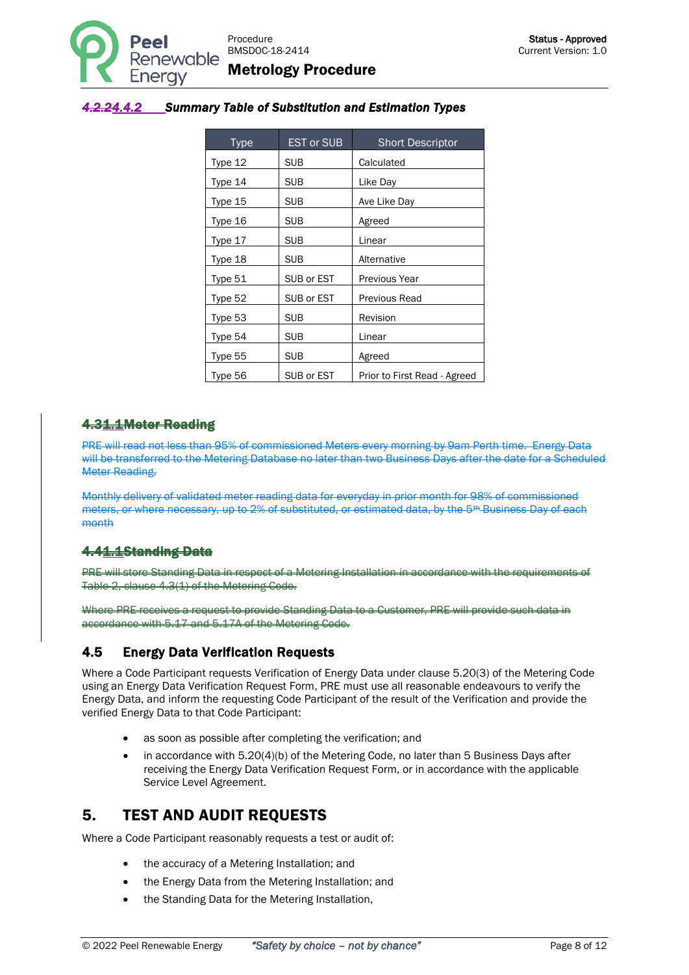

#### <span id="page-7-0"></span>*4.2.24.4.2 Summary Table of Substitution and Estimation Types*

| <b>Type</b> | <b>EST or SUB</b> | <b>Short Descriptor</b>      |
|-------------|-------------------|------------------------------|
| Type 12     | <b>SUB</b>        | Calculated                   |
| Type 14     | <b>SUB</b>        | Like Day                     |
| Type 15     | <b>SUB</b>        | Ave Like Day                 |
| Type 16     | <b>SUB</b>        | Agreed                       |
| Type 17     | <b>SUB</b>        | Linear                       |
| Type 18     | <b>SUB</b>        | Alternative                  |
| Type 51     | SUB or EST        | Previous Year                |
| Type 52     | SUB or EST        | Previous Read                |
| Type 53     | <b>SUB</b>        | Revision                     |
| Type 54     | <b>SUB</b>        | Linear                       |
| Type 55     | <b>SUB</b>        | Agreed                       |
| Type 56     | SUB or EST        | Prior to First Read - Agreed |

#### 4.31.1 Meter Reading

PRE will read not less than 95% of commissioned Meters every morning by 9am Perth time. Energy Data will be transferred to the Metering Database no later than two Business Days after the date for a Scheduled Meter Reading.

Monthly delivery of validated meter reading data for everyday in prior month for 98% of commissioned meters, or where necessary, up to 2% of substituted, or estimated data, by the 5<sup>th</sup> Business Day of each month

## 4.41.1Standing Data

PRE will store Standing Data in respect of a Metering Installation in accordance with the requirements Table 2, clause 4.3(1) of the Metering Code.

Where PRE receives a request to provide Standing Data to a Customer, PRE will provide such data in accordance with 5.17 and 5.17A of the Metering Code.

#### <span id="page-7-1"></span>4.5 Energy Data Verification Requests

Where a Code Participant requests Verification of Energy Data under clause 5.20(3) of the Metering Code using an Energy Data Verification Request Form, PRE must use all reasonable endeavours to verify the Energy Data, and inform the requesting Code Participant of the result of the Verification and provide the verified Energy Data to that Code Participant:

- as soon as possible after completing the verification; and
- in accordance with 5.20(4)(b) of the Metering Code, no later than 5 Business Days after receiving the Energy Data Verification Request Form, or in accordance with the applicable Service Level Agreement.

## <span id="page-7-2"></span>5. TEST AND AUDIT REQUESTS

Where a Code Participant reasonably requests a test or audit of:

- the accuracy of a Metering Installation; and
- the Energy Data from the Metering Installation; and
- the Standing Data for the Metering Installation,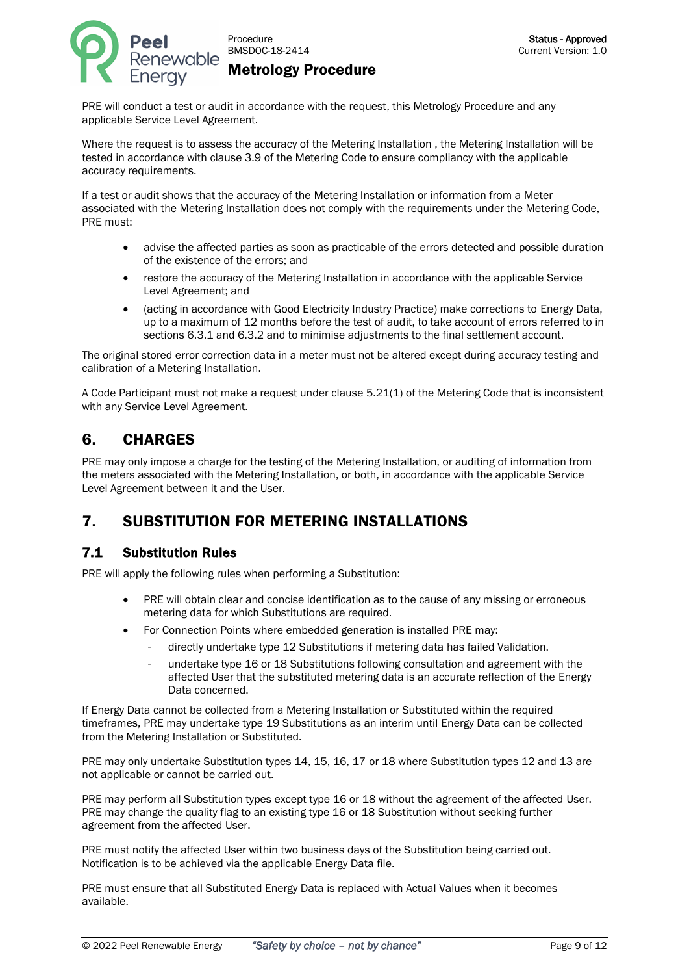

PRE will conduct a test or audit in accordance with the request, this Metrology Procedure and any applicable Service Level Agreement.

Where the request is to assess the accuracy of the Metering Installation , the Metering Installation will be tested in accordance with clause 3.9 of the Metering Code to ensure compliancy with the applicable accuracy requirements.

If a test or audit shows that the accuracy of the Metering Installation or information from a Meter associated with the Metering Installation does not comply with the requirements under the Metering Code, PRE must:

- advise the affected parties as soon as practicable of the errors detected and possible duration of the existence of the errors; and
- restore the accuracy of the Metering Installation in accordance with the applicable Service Level Agreement; and
- (acting in accordance with Good Electricity Industry Practice) make corrections to Energy Data, up to a maximum of 12 months before the test of audit, to take account of errors referred to in sections 6.3.1 and 6.3.2 and to minimise adjustments to the final settlement account.

The original stored error correction data in a meter must not be altered except during accuracy testing and calibration of a Metering Installation.

A Code Participant must not make a request under clause 5.21(1) of the Metering Code that is inconsistent with any Service Level Agreement.

## <span id="page-8-0"></span>6. CHARGES

PRE may only impose a charge for the testing of the Metering Installation, or auditing of information from the meters associated with the Metering Installation, or both, in accordance with the applicable Service Level Agreement between it and the User.

# <span id="page-8-1"></span>7. SUBSTITUTION FOR METERING INSTALLATIONS

#### <span id="page-8-2"></span>7.1 Substitution Rules

PRE will apply the following rules when performing a Substitution:

- PRE will obtain clear and concise identification as to the cause of any missing or erroneous metering data for which Substitutions are required.
- For Connection Points where embedded generation is installed PRE may:
	- directly undertake type 12 Substitutions if metering data has failed Validation.
	- undertake type 16 or 18 Substitutions following consultation and agreement with the affected User that the substituted metering data is an accurate reflection of the Energy Data concerned.

If Energy Data cannot be collected from a Metering Installation or Substituted within the required timeframes, PRE may undertake type 19 Substitutions as an interim until Energy Data can be collected from the Metering Installation or Substituted.

PRE may only undertake Substitution types 14, 15, 16, 17 or 18 where Substitution types 12 and 13 are not applicable or cannot be carried out.

PRE may perform all Substitution types except type 16 or 18 without the agreement of the affected User. PRE may change the quality flag to an existing type 16 or 18 Substitution without seeking further agreement from the affected User.

PRE must notify the affected User within two business days of the Substitution being carried out. Notification is to be achieved via the applicable Energy Data file.

PRE must ensure that all Substituted Energy Data is replaced with Actual Values when it becomes available.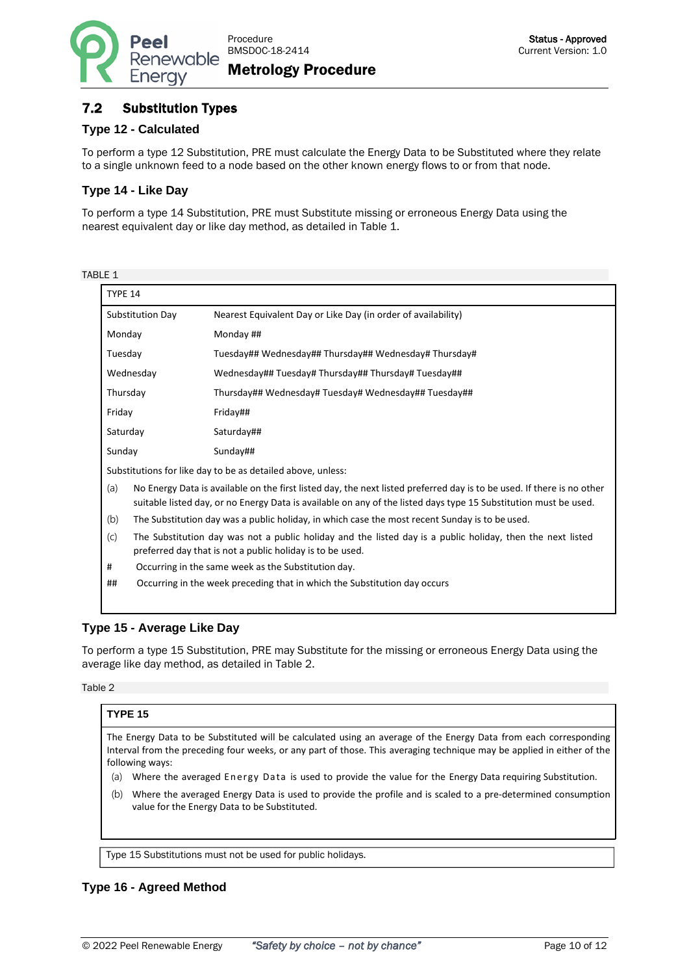

#### <span id="page-9-0"></span>7.2 Substitution Types

#### **Type 12 - Calculated**

To perform a type 12 Substitution, PRE must calculate the Energy Data to be Substituted where they relate to a single unknown feed to a node based on the other known energy flows to or from that node.

#### **Type 14 - Like Day**

To perform a type 14 Substitution, PRE must Substitute missing or erroneous Energy Data using the nearest equivalent day or like day method, as detailed in Table 1.

| TABI F | . . |
|--------|-----|
|        |     |

| TYPE 14                                                                                                                                                                                                                                           |                                                                                                                                                                         |  |
|---------------------------------------------------------------------------------------------------------------------------------------------------------------------------------------------------------------------------------------------------|-------------------------------------------------------------------------------------------------------------------------------------------------------------------------|--|
| Substitution Day                                                                                                                                                                                                                                  | Nearest Equivalent Day or Like Day (in order of availability)                                                                                                           |  |
| Monday                                                                                                                                                                                                                                            | Monday ##                                                                                                                                                               |  |
| Tuesday                                                                                                                                                                                                                                           | Tuesday## Wednesday## Thursday## Wednesday# Thursday#                                                                                                                   |  |
| Wednesday                                                                                                                                                                                                                                         | Wednesday## Tuesday# Thursday## Thursday# Tuesday##                                                                                                                     |  |
| Thursday                                                                                                                                                                                                                                          | Thursday## Wednesday# Tuesday# Wednesday## Tuesday##                                                                                                                    |  |
| Friday                                                                                                                                                                                                                                            | Friday##                                                                                                                                                                |  |
| Saturday                                                                                                                                                                                                                                          | Saturday##                                                                                                                                                              |  |
| Sunday                                                                                                                                                                                                                                            | Sunday##                                                                                                                                                                |  |
| Substitutions for like day to be as detailed above, unless:                                                                                                                                                                                       |                                                                                                                                                                         |  |
| No Energy Data is available on the first listed day, the next listed preferred day is to be used. If there is no other<br>(a)<br>suitable listed day, or no Energy Data is available on any of the listed days type 15 Substitution must be used. |                                                                                                                                                                         |  |
| (b)                                                                                                                                                                                                                                               | The Substitution day was a public holiday, in which case the most recent Sunday is to be used.                                                                          |  |
| (C)                                                                                                                                                                                                                                               | The Substitution day was not a public holiday and the listed day is a public holiday, then the next listed<br>preferred day that is not a public holiday is to be used. |  |
| #                                                                                                                                                                                                                                                 | Occurring in the same week as the Substitution day.                                                                                                                     |  |
| ##                                                                                                                                                                                                                                                | Occurring in the week preceding that in which the Substitution day occurs                                                                                               |  |
|                                                                                                                                                                                                                                                   |                                                                                                                                                                         |  |

#### **Type 15 - Average Like Day**

To perform a type 15 Substitution, PRE may Substitute for the missing or erroneous Energy Data using the average like day method, as detailed in Table 2.

Table 2

#### **TYPE 15**

The Energy Data to be Substituted will be calculated using an average of the Energy Data from each corresponding Interval from the preceding four weeks, or any part of those. This averaging technique may be applied in either of the following ways:

- (a) Where the averaged Energy Data is used to provide the value for the Energy Data requiring Substitution.
- (b) Where the averaged Energy Data is used to provide the profile and is scaled to a pre-determined consumption value for the Energy Data to be Substituted.

Type 15 Substitutions must not be used for public holidays.

#### **Type 16 - Agreed Method**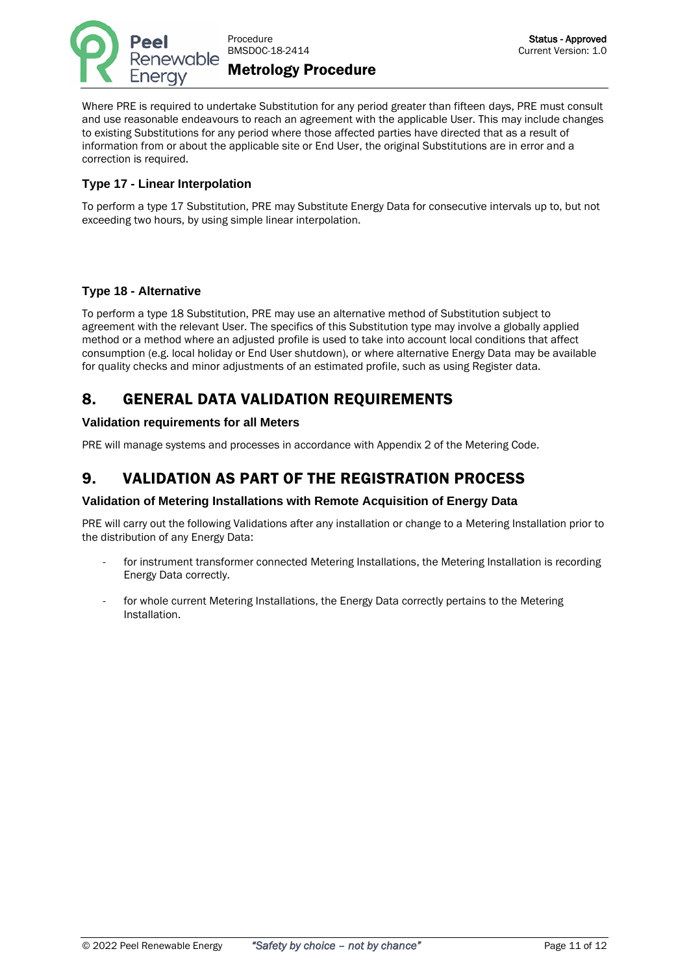

Where PRE is required to undertake Substitution for any period greater than fifteen days, PRE must consult and use reasonable endeavours to reach an agreement with the applicable User. This may include changes to existing Substitutions for any period where those affected parties have directed that as a result of information from or about the applicable site or End User, the original Substitutions are in error and a correction is required.

#### **Type 17 - Linear Interpolation**

To perform a type 17 Substitution, PRE may Substitute Energy Data for consecutive intervals up to, but not exceeding two hours, by using simple linear interpolation.

#### **Type 18 - Alternative**

To perform a type 18 Substitution, PRE may use an alternative method of Substitution subject to agreement with the relevant User. The specifics of this Substitution type may involve a globally applied method or a method where an adjusted profile is used to take into account local conditions that affect consumption (e.g. local holiday or End User shutdown), or where alternative Energy Data may be available for quality checks and minor adjustments of an estimated profile, such as using Register data.

# <span id="page-10-0"></span>8. GENERAL DATA VALIDATION REQUIREMENTS

#### **Validation requirements for all Meters**

PRE will manage systems and processes in accordance with Appendix 2 of the Metering Code.

## <span id="page-10-1"></span>9. VALIDATION AS PART OF THE REGISTRATION PROCESS

#### **Validation of Metering Installations with Remote Acquisition of Energy Data**

PRE will carry out the following Validations after any installation or change to a Metering Installation prior to the distribution of any Energy Data:

- for instrument transformer connected Metering Installations, the Metering Installation is recording Energy Data correctly.
- for whole current Metering Installations, the Energy Data correctly pertains to the Metering Installation.